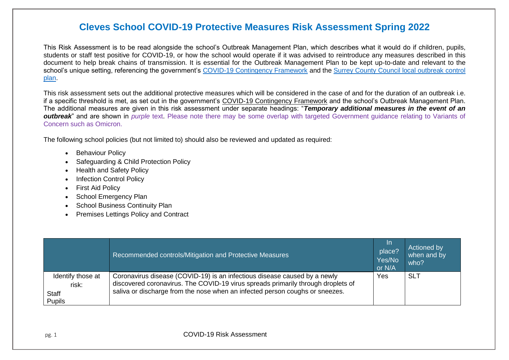This Risk Assessment is to be read alongside the school's Outbreak Management Plan, which describes what it would do if children, pupils, students or staff test positive for COVID-19, or how the school would operate if it was advised to reintroduce any measures described in this document to help break chains of transmission. It is essential for the Outbreak Management Plan to be kept up-to-date and relevant to the school's unique setting, referencing the government's [COVID-19 Contingency Framework](https://www.gov.uk/government/publications/coronavirus-covid-19-local-restrictions-in-education-and-childcare-settings/contingency-framework-education-and-childcare-settings) and the Surrey County Council local outbreak control [plan.](https://www.surreycc.gov.uk/people-and-community/emergency-planning-and-community-safety/coronavirus/local-outbreak-plan)

This risk assessment sets out the additional protective measures which will be considered in the case of and for the duration of an outbreak i.e. if a specific threshold is met, as set out in the government's [COVID-19 Contingency Framework](https://www.gov.uk/government/publications/coronavirus-covid-19-local-restrictions-in-education-and-childcare-settings/contingency-framework-education-and-childcare-settings) and the school's Outbreak Management Plan. The additional measures are given in this risk assessment under separate headings: "*Temporary additional measures in the event of an outbreak*" and are shown in *purple* text. Please note there may be some overlap with targeted Government quidance relating to Variants of Concern such as Omicron.

The following school policies (but not limited to) should also be reviewed and updated as required:

- Behaviour Policy
- Safeguarding & Child Protection Policy
- Health and Safety Policy
- Infection Control Policy
- First Aid Policy
- School Emergency Plan
- School Business Continuity Plan
- Premises Lettings Policy and Contract

|                                                      | Recommended controls/Mitigation and Protective Measures                                                                                                                                                                                       | <u>In</u><br>place?<br>Yes/No<br>or N/A | Actioned by<br>when and by<br>who? |
|------------------------------------------------------|-----------------------------------------------------------------------------------------------------------------------------------------------------------------------------------------------------------------------------------------------|-----------------------------------------|------------------------------------|
| Identify those at<br>risk:<br>Staff<br><b>Pupils</b> | Coronavirus disease (COVID-19) is an infectious disease caused by a newly<br>discovered coronavirus. The COVID-19 virus spreads primarily through droplets of<br>saliva or discharge from the nose when an infected person coughs or sneezes. | Yes                                     | <b>SLT</b>                         |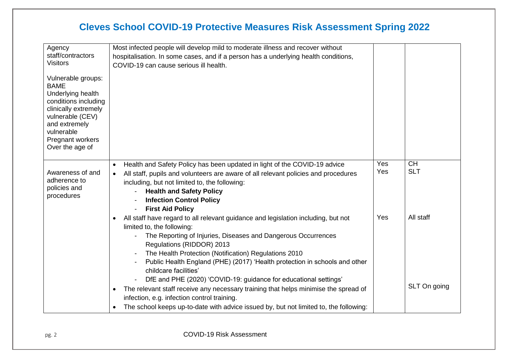| Agency                                                                                                                                                                                           | Most infected people will develop mild to moderate illness and recover without                                                                                                                                                                                                                                                                                                                                                                                 |            |                         |
|--------------------------------------------------------------------------------------------------------------------------------------------------------------------------------------------------|----------------------------------------------------------------------------------------------------------------------------------------------------------------------------------------------------------------------------------------------------------------------------------------------------------------------------------------------------------------------------------------------------------------------------------------------------------------|------------|-------------------------|
| staff/contractors<br><b>Visitors</b>                                                                                                                                                             | hospitalisation. In some cases, and if a person has a underlying health conditions,                                                                                                                                                                                                                                                                                                                                                                            |            |                         |
|                                                                                                                                                                                                  | COVID-19 can cause serious ill health.                                                                                                                                                                                                                                                                                                                                                                                                                         |            |                         |
| Vulnerable groups:<br><b>BAME</b><br>Underlying health<br>conditions including<br>clinically extremely<br>vulnerable (CEV)<br>and extremely<br>vulnerable<br>Pregnant workers<br>Over the age of |                                                                                                                                                                                                                                                                                                                                                                                                                                                                |            |                         |
| Awareness of and<br>adherence to<br>policies and<br>procedures                                                                                                                                   | Health and Safety Policy has been updated in light of the COVID-19 advice<br>$\bullet$<br>All staff, pupils and volunteers are aware of all relevant policies and procedures<br>$\bullet$<br>including, but not limited to, the following:<br><b>Health and Safety Policy</b><br><b>Infection Control Policy</b><br><b>First Aid Policy</b>                                                                                                                    | Yes<br>Yes | <b>CH</b><br><b>SLT</b> |
|                                                                                                                                                                                                  | All staff have regard to all relevant guidance and legislation including, but not<br>$\bullet$<br>limited to, the following:<br>The Reporting of Injuries, Diseases and Dangerous Occurrences<br>Regulations (RIDDOR) 2013<br>The Health Protection (Notification) Regulations 2010<br>Public Health England (PHE) (2017) 'Health protection in schools and other<br>childcare facilities'<br>DfE and PHE (2020) 'COVID-19: guidance for educational settings' | Yes        | All staff               |
|                                                                                                                                                                                                  | The relevant staff receive any necessary training that helps minimise the spread of<br>$\bullet$<br>infection, e.g. infection control training.                                                                                                                                                                                                                                                                                                                |            | SLT On going            |
|                                                                                                                                                                                                  | The school keeps up-to-date with advice issued by, but not limited to, the following:<br>$\bullet$                                                                                                                                                                                                                                                                                                                                                             |            |                         |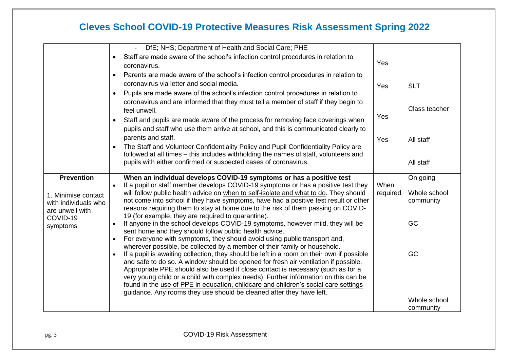<span id="page-2-0"></span>

|                                                                                     | DfE; NHS; Department of Health and Social Care; PHE                                                                                                                                                                                                                                                                                                                                                                                                                                                                        |                  |                                       |
|-------------------------------------------------------------------------------------|----------------------------------------------------------------------------------------------------------------------------------------------------------------------------------------------------------------------------------------------------------------------------------------------------------------------------------------------------------------------------------------------------------------------------------------------------------------------------------------------------------------------------|------------------|---------------------------------------|
|                                                                                     | Staff are made aware of the school's infection control procedures in relation to<br>coronavirus.                                                                                                                                                                                                                                                                                                                                                                                                                           | Yes              |                                       |
|                                                                                     | Parents are made aware of the school's infection control procedures in relation to<br>coronavirus via letter and social media.<br>Pupils are made aware of the school's infection control procedures in relation to                                                                                                                                                                                                                                                                                                        | Yes              | <b>SLT</b>                            |
|                                                                                     | coronavirus and are informed that they must tell a member of staff if they begin to<br>feel unwell.                                                                                                                                                                                                                                                                                                                                                                                                                        | Yes              | Class teacher                         |
|                                                                                     | Staff and pupils are made aware of the process for removing face coverings when<br>pupils and staff who use them arrive at school, and this is communicated clearly to<br>parents and staff.                                                                                                                                                                                                                                                                                                                               | Yes              | All staff                             |
|                                                                                     | The Staff and Volunteer Confidentiality Policy and Pupil Confidentiality Policy are<br>followed at all times – this includes withholding the names of staff, volunteers and<br>pupils with either confirmed or suspected cases of coronavirus.                                                                                                                                                                                                                                                                             |                  | All staff                             |
| <b>Prevention</b><br>1. Minimise contact<br>with individuals who<br>are unwell with | When an individual develops COVID-19 symptoms or has a positive test<br>If a pupil or staff member develops COVID-19 symptoms or has a positive test they<br>will follow public health advice on when to self-isolate and what to do. They should<br>not come into school if they have symptoms, have had a positive test result or other<br>reasons requiring them to stay at home due to the risk of them passing on COVID-                                                                                              | When<br>required | On going<br>Whole school<br>community |
| COVID-19<br>symptoms                                                                | 19 (for example, they are required to quarantine).<br>If anyone in the school develops COVID-19 symptoms, however mild, they will be<br>sent home and they should follow public health advice.<br>For everyone with symptoms, they should avoid using public transport and,<br>wherever possible, be collected by a member of their family or household.                                                                                                                                                                   |                  | GC                                    |
|                                                                                     | If a pupil is awaiting collection, they should be left in a room on their own if possible<br>and safe to do so. A window should be opened for fresh air ventilation if possible.<br>Appropriate PPE should also be used if close contact is necessary (such as for a<br>very young child or a child with complex needs). Further information on this can be<br>found in the use of PPE in education, childcare and children's social care settings<br>guidance. Any rooms they use should be cleaned after they have left. |                  | GC                                    |
|                                                                                     |                                                                                                                                                                                                                                                                                                                                                                                                                                                                                                                            |                  | Whole school<br>community             |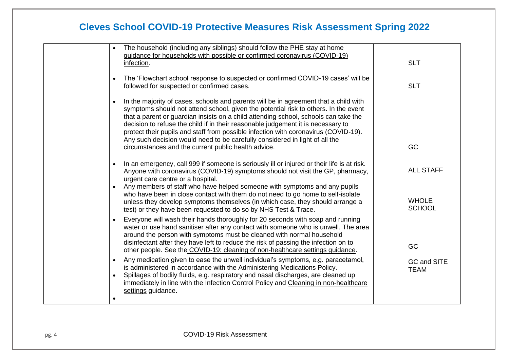| The household (including any siblings) should follow the PHE stay at home<br>$\bullet$<br>guidance for households with possible or confirmed coronavirus (COVID-19)<br>infection.                                                                                                                                                                                                                                                                                                                                                                                                                | <b>SLT</b>                    |
|--------------------------------------------------------------------------------------------------------------------------------------------------------------------------------------------------------------------------------------------------------------------------------------------------------------------------------------------------------------------------------------------------------------------------------------------------------------------------------------------------------------------------------------------------------------------------------------------------|-------------------------------|
| The 'Flowchart school response to suspected or confirmed COVID-19 cases' will be<br>$\bullet$<br>followed for suspected or confirmed cases.                                                                                                                                                                                                                                                                                                                                                                                                                                                      | <b>SLT</b>                    |
| In the majority of cases, schools and parents will be in agreement that a child with<br>$\bullet$<br>symptoms should not attend school, given the potential risk to others. In the event<br>that a parent or guardian insists on a child attending school, schools can take the<br>decision to refuse the child if in their reasonable judgement it is necessary to<br>protect their pupils and staff from possible infection with coronavirus (COVID-19).<br>Any such decision would need to be carefully considered in light of all the<br>circumstances and the current public health advice. | GC                            |
|                                                                                                                                                                                                                                                                                                                                                                                                                                                                                                                                                                                                  |                               |
| In an emergency, call 999 if someone is seriously ill or injured or their life is at risk.<br>$\bullet$<br>Anyone with coronavirus (COVID-19) symptoms should not visit the GP, pharmacy,<br>urgent care centre or a hospital.                                                                                                                                                                                                                                                                                                                                                                   | <b>ALL STAFF</b>              |
| Any members of staff who have helped someone with symptoms and any pupils<br>$\bullet$<br>who have been in close contact with them do not need to go home to self-isolate<br>unless they develop symptoms themselves (in which case, they should arrange a<br>test) or they have been requested to do so by NHS Test & Trace.                                                                                                                                                                                                                                                                    | <b>WHOLE</b><br><b>SCHOOL</b> |
| Everyone will wash their hands thoroughly for 20 seconds with soap and running<br>water or use hand sanitiser after any contact with someone who is unwell. The area<br>around the person with symptoms must be cleaned with normal household<br>disinfectant after they have left to reduce the risk of passing the infection on to                                                                                                                                                                                                                                                             | GC                            |
| other people. See the COVID-19: cleaning of non-healthcare settings guidance.<br>Any medication given to ease the unwell individual's symptoms, e.g. paracetamol,<br>$\bullet$<br>is administered in accordance with the Administering Medications Policy.                                                                                                                                                                                                                                                                                                                                       | GC and SITE<br><b>TEAM</b>    |
| Spillages of bodily fluids, e.g. respiratory and nasal discharges, are cleaned up<br>immediately in line with the Infection Control Policy and Cleaning in non-healthcare<br>settings guidance.                                                                                                                                                                                                                                                                                                                                                                                                  |                               |
|                                                                                                                                                                                                                                                                                                                                                                                                                                                                                                                                                                                                  |                               |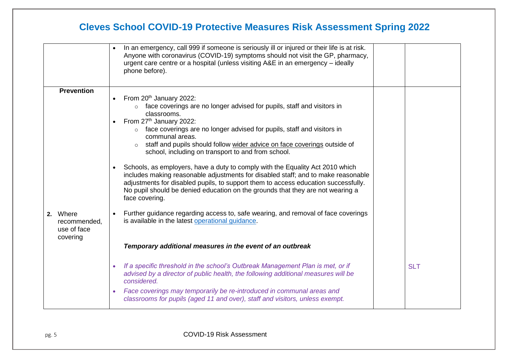|                                                                          | In an emergency, call 999 if someone is seriously ill or injured or their life is at risk.<br>Anyone with coronavirus (COVID-19) symptoms should not visit the GP, pharmacy,<br>urgent care centre or a hospital (unless visiting A&E in an emergency - ideally<br>phone before).                                                                                                                                                                                                                                                                                                                                                                                                                                                                                                                                                                                                                                                                                                              |            |
|--------------------------------------------------------------------------|------------------------------------------------------------------------------------------------------------------------------------------------------------------------------------------------------------------------------------------------------------------------------------------------------------------------------------------------------------------------------------------------------------------------------------------------------------------------------------------------------------------------------------------------------------------------------------------------------------------------------------------------------------------------------------------------------------------------------------------------------------------------------------------------------------------------------------------------------------------------------------------------------------------------------------------------------------------------------------------------|------------|
| <b>Prevention</b><br>2. Where<br>recommended,<br>use of face<br>covering | From 20 <sup>th</sup> January 2022:<br>$\circ$ face coverings are no longer advised for pupils, staff and visitors in<br>classrooms.<br>From 27 <sup>th</sup> January 2022:<br>o face coverings are no longer advised for pupils, staff and visitors in<br>communal areas.<br>staff and pupils should follow wider advice on face coverings outside of<br>$\Omega$<br>school, including on transport to and from school.<br>Schools, as employers, have a duty to comply with the Equality Act 2010 which<br>includes making reasonable adjustments for disabled staff; and to make reasonable<br>adjustments for disabled pupils, to support them to access education successfully.<br>No pupil should be denied education on the grounds that they are not wearing a<br>face covering.<br>Further guidance regarding access to, safe wearing, and removal of face coverings<br>is available in the latest operational guidance.<br>Temporary additional measures in the event of an outbreak |            |
|                                                                          | If a specific threshold in the school's Outbreak Management Plan is met, or if<br>advised by a director of public health, the following additional measures will be<br>considered.<br>Face coverings may temporarily be re-introduced in communal areas and<br>$\bullet$<br>classrooms for pupils (aged 11 and over), staff and visitors, unless exempt.                                                                                                                                                                                                                                                                                                                                                                                                                                                                                                                                                                                                                                       | <b>SLT</b> |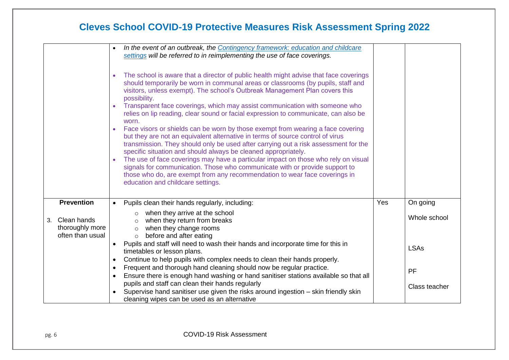|                                                          | In the event of an outbreak, the Contingency framework: education and childcare<br>settings will be referred to in reimplementing the use of face coverings.<br>The school is aware that a director of public health might advise that face coverings<br>should temporarily be worn in communal areas or classrooms (by pupils, staff and<br>visitors, unless exempt). The school's Outbreak Management Plan covers this<br>possibility.<br>Transparent face coverings, which may assist communication with someone who<br>relies on lip reading, clear sound or facial expression to communicate, can also be<br>worn.<br>Face visors or shields can be worn by those exempt from wearing a face covering<br>but they are not an equivalent alternative in terms of source control of virus<br>transmission. They should only be used after carrying out a risk assessment for the<br>specific situation and should always be cleaned appropriately.<br>The use of face coverings may have a particular impact on those who rely on visual<br>signals for communication. Those who communicate with or provide support to |     |               |
|----------------------------------------------------------|----------------------------------------------------------------------------------------------------------------------------------------------------------------------------------------------------------------------------------------------------------------------------------------------------------------------------------------------------------------------------------------------------------------------------------------------------------------------------------------------------------------------------------------------------------------------------------------------------------------------------------------------------------------------------------------------------------------------------------------------------------------------------------------------------------------------------------------------------------------------------------------------------------------------------------------------------------------------------------------------------------------------------------------------------------------------------------------------------------------------------|-----|---------------|
|                                                          | those who do, are exempt from any recommendation to wear face coverings in<br>education and childcare settings.                                                                                                                                                                                                                                                                                                                                                                                                                                                                                                                                                                                                                                                                                                                                                                                                                                                                                                                                                                                                            |     |               |
| <b>Prevention</b>                                        | Pupils clean their hands regularly, including:                                                                                                                                                                                                                                                                                                                                                                                                                                                                                                                                                                                                                                                                                                                                                                                                                                                                                                                                                                                                                                                                             | Yes | On going      |
| Clean hands<br>3.<br>thoroughly more<br>often than usual | when they arrive at the school<br>$\circ$<br>when they return from breaks<br>$\circ$<br>when they change rooms<br>$\circ$<br>before and after eating<br>$\circ$                                                                                                                                                                                                                                                                                                                                                                                                                                                                                                                                                                                                                                                                                                                                                                                                                                                                                                                                                            |     | Whole school  |
|                                                          | Pupils and staff will need to wash their hands and incorporate time for this in<br>timetables or lesson plans.                                                                                                                                                                                                                                                                                                                                                                                                                                                                                                                                                                                                                                                                                                                                                                                                                                                                                                                                                                                                             |     | <b>LSAs</b>   |
|                                                          | Continue to help pupils with complex needs to clean their hands properly.<br>٠<br>Frequent and thorough hand cleaning should now be regular practice.<br>Ensure there is enough hand washing or hand sanitiser stations available so that all                                                                                                                                                                                                                                                                                                                                                                                                                                                                                                                                                                                                                                                                                                                                                                                                                                                                              |     | PF            |
|                                                          | pupils and staff can clean their hands regularly<br>Supervise hand sanitiser use given the risks around ingestion – skin friendly skin<br>cleaning wipes can be used as an alternative                                                                                                                                                                                                                                                                                                                                                                                                                                                                                                                                                                                                                                                                                                                                                                                                                                                                                                                                     |     | Class teacher |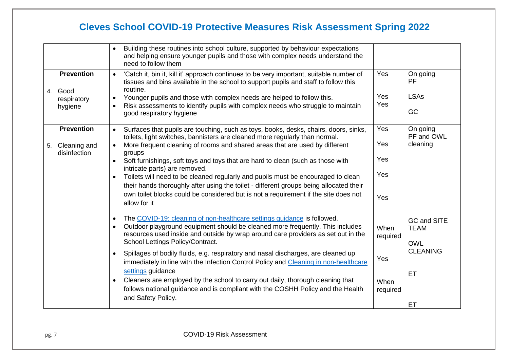|         |                              | Building these routines into school culture, supported by behaviour expectations<br>and helping ensure younger pupils and those with complex needs understand the<br>need to follow them                                                                   |                  |                            |
|---------|------------------------------|------------------------------------------------------------------------------------------------------------------------------------------------------------------------------------------------------------------------------------------------------------|------------------|----------------------------|
| 4. Good | <b>Prevention</b>            | 'Catch it, bin it, kill it' approach continues to be very important, suitable number of<br>$\bullet$<br>tissues and bins available in the school to support pupils and staff to follow this<br>routine.                                                    | Yes              | On going<br>PF             |
|         | respiratory<br>hygiene       | Younger pupils and those with complex needs are helped to follow this.<br>$\bullet$<br>Risk assessments to identify pupils with complex needs who struggle to maintain<br>good respiratory hygiene                                                         | Yes<br>Yes       | <b>LSAs</b><br>GC          |
|         | <b>Prevention</b>            | Surfaces that pupils are touching, such as toys, books, desks, chairs, doors, sinks,<br>$\bullet$<br>toilets, light switches, bannisters are cleaned more regularly than normal.                                                                           | Yes              | On going<br>PF and OWL     |
| 5.      | Cleaning and<br>disinfection | More frequent cleaning of rooms and shared areas that are used by different<br>$\bullet$<br>groups                                                                                                                                                         | Yes              | cleaning                   |
|         |                              | Soft furnishings, soft toys and toys that are hard to clean (such as those with<br>$\bullet$<br>intricate parts) are removed.                                                                                                                              | Yes              |                            |
|         |                              | Toilets will need to be cleaned regularly and pupils must be encouraged to clean<br>their hands thoroughly after using the toilet - different groups being allocated their                                                                                 | Yes              |                            |
|         |                              | own toilet blocks could be considered but is not a requirement if the site does not<br>allow for it                                                                                                                                                        | Yes              |                            |
|         |                              | The COVID-19: cleaning of non-healthcare settings guidance is followed.<br>$\bullet$<br>Outdoor playground equipment should be cleaned more frequently. This includes<br>resources used inside and outside by wrap around care providers as set out in the | When             | GC and SITE<br><b>TEAM</b> |
|         |                              | School Lettings Policy/Contract.                                                                                                                                                                                                                           | required         | <b>OWL</b>                 |
|         |                              | Spillages of bodily fluids, e.g. respiratory and nasal discharges, are cleaned up<br>$\bullet$<br>immediately in line with the Infection Control Policy and Cleaning in non-healthcare<br>settings guidance                                                | Yes              | <b>CLEANING</b>            |
|         |                              | Cleaners are employed by the school to carry out daily, thorough cleaning that<br>follows national guidance and is compliant with the COSHH Policy and the Health                                                                                          | When<br>required | ET                         |
|         |                              | and Safety Policy.                                                                                                                                                                                                                                         |                  | ET                         |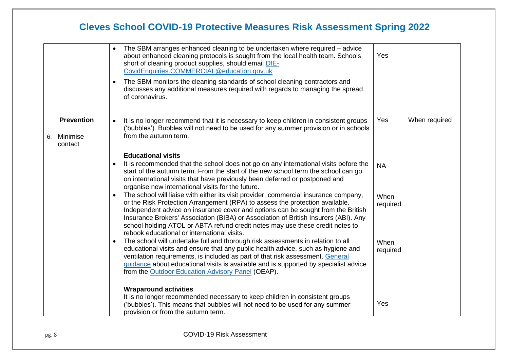|                           |                   | The SBM arranges enhanced cleaning to be undertaken where required – advice<br>about enhanced cleaning protocols is sought from the local health team. Schools<br>short of cleaning product supplies, should email DfE-<br>CovidEnquiries.COMMERCIAL@education.gov.uk<br>The SBM monitors the cleaning standards of school cleaning contractors and<br>discusses any additional measures required with regards to managing the spread<br>of coronavirus.                                                                                                                                                                                                                                                                                                                                                                                                                                                                                                                                                                                                                                                                                                                                                                                         | Yes                                               |               |
|---------------------------|-------------------|--------------------------------------------------------------------------------------------------------------------------------------------------------------------------------------------------------------------------------------------------------------------------------------------------------------------------------------------------------------------------------------------------------------------------------------------------------------------------------------------------------------------------------------------------------------------------------------------------------------------------------------------------------------------------------------------------------------------------------------------------------------------------------------------------------------------------------------------------------------------------------------------------------------------------------------------------------------------------------------------------------------------------------------------------------------------------------------------------------------------------------------------------------------------------------------------------------------------------------------------------|---------------------------------------------------|---------------|
| Minimise<br>6.<br>contact | <b>Prevention</b> | It is no longer recommend that it is necessary to keep children in consistent groups<br>$\bullet$<br>('bubbles'). Bubbles will not need to be used for any summer provision or in schools<br>from the autumn term.                                                                                                                                                                                                                                                                                                                                                                                                                                                                                                                                                                                                                                                                                                                                                                                                                                                                                                                                                                                                                               | Yes                                               | When required |
|                           |                   | <b>Educational visits</b><br>It is recommended that the school does not go on any international visits before the<br>start of the autumn term. From the start of the new school term the school can go<br>on international visits that have previously been deferred or postponed and<br>organise new international visits for the future.<br>The school will liaise with either its visit provider, commercial insurance company,<br>or the Risk Protection Arrangement (RPA) to assess the protection available.<br>Independent advice on insurance cover and options can be sought from the British<br>Insurance Brokers' Association (BIBA) or Association of British Insurers (ABI). Any<br>school holding ATOL or ABTA refund credit notes may use these credit notes to<br>rebook educational or international visits.<br>The school will undertake full and thorough risk assessments in relation to all<br>$\bullet$<br>educational visits and ensure that any public health advice, such as hygiene and<br>ventilation requirements, is included as part of that risk assessment. General<br>guidance about educational visits is available and is supported by specialist advice<br>from the Outdoor Education Advisory Panel (OEAP). | <b>NA</b><br>When<br>required<br>When<br>required |               |
|                           |                   | <b>Wraparound activities</b><br>It is no longer recommended necessary to keep children in consistent groups<br>('bubbles'). This means that bubbles will not need to be used for any summer<br>provision or from the autumn term.                                                                                                                                                                                                                                                                                                                                                                                                                                                                                                                                                                                                                                                                                                                                                                                                                                                                                                                                                                                                                | Yes                                               |               |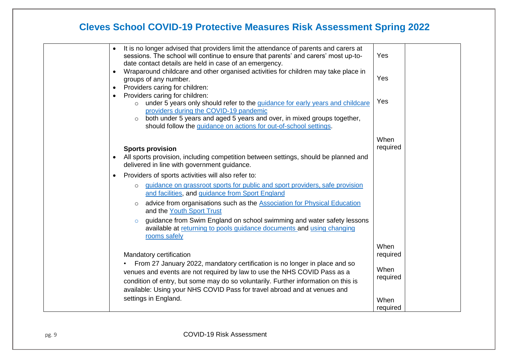|  | It is no longer advised that providers limit the attendance of parents and carers at<br>$\bullet$<br>sessions. The school will continue to ensure that parents' and carers' most up-to-<br>date contact details are held in case of an emergency.                                                                        | Yes              |
|--|--------------------------------------------------------------------------------------------------------------------------------------------------------------------------------------------------------------------------------------------------------------------------------------------------------------------------|------------------|
|  | Wraparound childcare and other organised activities for children may take place in<br>$\bullet$<br>groups of any number.                                                                                                                                                                                                 | Yes              |
|  | Providers caring for children:<br>$\bullet$<br>Providers caring for children:<br>under 5 years only should refer to the guidance for early years and childcare<br>$\circ$                                                                                                                                                | Yes              |
|  | providers during the COVID-19 pandemic<br>both under 5 years and aged 5 years and over, in mixed groups together,<br>$\circ$<br>should follow the guidance on actions for out-of-school settings.                                                                                                                        |                  |
|  | <b>Sports provision</b><br>All sports provision, including competition between settings, should be planned and<br>$\bullet$<br>delivered in line with government guidance.                                                                                                                                               | When<br>required |
|  | Providers of sports activities will also refer to:<br>٠                                                                                                                                                                                                                                                                  |                  |
|  | guidance on grassroot sports for public and sport providers, safe provision<br>$\circ$<br>and facilities, and guidance from Sport England<br>advice from organisations such as the Association for Physical Education<br>and the Youth Sport Trust                                                                       |                  |
|  | guidance from Swim England on school swimming and water safety lessons<br>$\circ$<br>available at returning to pools guidance documents and using changing<br>rooms safely                                                                                                                                               |                  |
|  | Mandatory certification                                                                                                                                                                                                                                                                                                  | When<br>required |
|  | From 27 January 2022, mandatory certification is no longer in place and so<br>venues and events are not required by law to use the NHS COVID Pass as a<br>condition of entry, but some may do so voluntarily. Further information on this is<br>available: Using your NHS COVID Pass for travel abroad and at venues and | When<br>required |
|  | settings in England.                                                                                                                                                                                                                                                                                                     | When<br>required |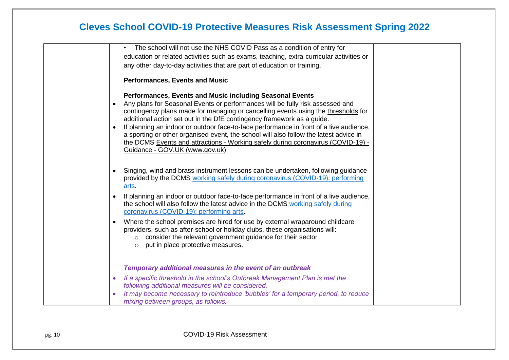|           | The school will not use the NHS COVID Pass as a condition of entry for                  |  |
|-----------|-----------------------------------------------------------------------------------------|--|
|           | education or related activities such as exams, teaching, extra-curricular activities or |  |
|           | any other day-to-day activities that are part of education or training.                 |  |
|           |                                                                                         |  |
|           | <b>Performances, Events and Music</b>                                                   |  |
|           |                                                                                         |  |
|           | Performances, Events and Music including Seasonal Events                                |  |
| $\bullet$ | Any plans for Seasonal Events or performances will be fully risk assessed and           |  |
|           | contingency plans made for managing or cancelling events using the thresholds for       |  |
|           | additional action set out in the DfE contingency framework as a guide.                  |  |
|           | If planning an indoor or outdoor face-to-face performance in front of a live audience,  |  |
|           | a sporting or other organised event, the school will also follow the latest advice in   |  |
|           | the DCMS Events and attractions - Working safely during coronavirus (COVID-19) -        |  |
|           | Guidance - GOV.UK (www.gov.uk)                                                          |  |
|           |                                                                                         |  |
| ٠         | Singing, wind and brass instrument lessons can be undertaken, following guidance        |  |
|           | provided by the DCMS working safely during coronavirus (COVID-19): performing           |  |
|           | arts.                                                                                   |  |
|           | If planning an indoor or outdoor face-to-face performance in front of a live audience,  |  |
|           | the school will also follow the latest advice in the DCMS working safely during         |  |
|           | coronavirus (COVID-19): performing arts.                                                |  |
| ٠         | Where the school premises are hired for use by external wraparound childcare            |  |
|           | providers, such as after-school or holiday clubs, these organisations will:             |  |
|           | consider the relevant government guidance for their sector<br>$\circ$                   |  |
|           | put in place protective measures.<br>$\circ$                                            |  |
|           |                                                                                         |  |
|           |                                                                                         |  |
|           | Temporary additional measures in the event of an outbreak                               |  |
| ۰         | If a specific threshold in the school's Outbreak Management Plan is met the             |  |
|           | following additional measures will be considered.                                       |  |
|           | It may become necessary to reintroduce 'bubbles' for a temporary period, to reduce      |  |
|           | mixing between groups, as follows.                                                      |  |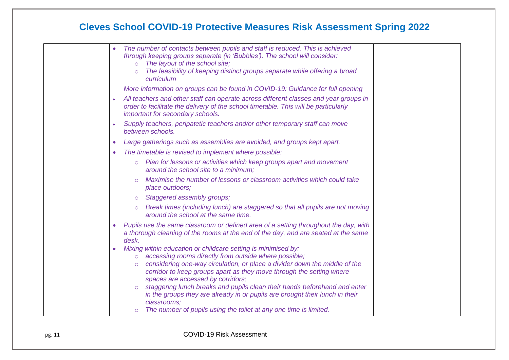|   | The number of contacts between pupils and staff is reduced. This is achieved<br>through keeping groups separate (in 'Bubbles'). The school will consider:<br>The layout of the school site;<br>$\Omega$<br>The feasibility of keeping distinct groups separate while offering a broad<br>curriculum                                                                                                                                                                                                                                                                                      |
|---|------------------------------------------------------------------------------------------------------------------------------------------------------------------------------------------------------------------------------------------------------------------------------------------------------------------------------------------------------------------------------------------------------------------------------------------------------------------------------------------------------------------------------------------------------------------------------------------|
|   | More information on groups can be found in COVID-19: Guidance for full opening                                                                                                                                                                                                                                                                                                                                                                                                                                                                                                           |
|   | All teachers and other staff can operate across different classes and year groups in<br>order to facilitate the delivery of the school timetable. This will be particularly<br>important for secondary schools.                                                                                                                                                                                                                                                                                                                                                                          |
|   | Supply teachers, peripatetic teachers and/or other temporary staff can move<br>between schools.                                                                                                                                                                                                                                                                                                                                                                                                                                                                                          |
|   | Large gatherings such as assemblies are avoided, and groups kept apart.                                                                                                                                                                                                                                                                                                                                                                                                                                                                                                                  |
| ۰ | The timetable is revised to implement where possible:                                                                                                                                                                                                                                                                                                                                                                                                                                                                                                                                    |
|   | Plan for lessons or activities which keep groups apart and movement<br>$\circ$<br>around the school site to a minimum;                                                                                                                                                                                                                                                                                                                                                                                                                                                                   |
|   | Maximise the number of lessons or classroom activities which could take<br>place outdoors;                                                                                                                                                                                                                                                                                                                                                                                                                                                                                               |
|   | Staggered assembly groups;<br>$\circ$                                                                                                                                                                                                                                                                                                                                                                                                                                                                                                                                                    |
|   | Break times (including lunch) are staggered so that all pupils are not moving<br>$\circ$<br>around the school at the same time.                                                                                                                                                                                                                                                                                                                                                                                                                                                          |
|   | Pupils use the same classroom or defined area of a setting throughout the day, with<br>a thorough cleaning of the rooms at the end of the day, and are seated at the same<br>desk.                                                                                                                                                                                                                                                                                                                                                                                                       |
|   | Mixing within education or childcare setting is minimised by:<br>accessing rooms directly from outside where possible;<br>$\circ$<br>considering one-way circulation, or place a divider down the middle of the<br>$\circ$<br>corridor to keep groups apart as they move through the setting where<br>spaces are accessed by corridors;<br>staggering lunch breaks and pupils clean their hands beforehand and enter<br>in the groups they are already in or pupils are brought their lunch in their<br>classrooms;<br>The number of pupils using the toilet at any one time is limited. |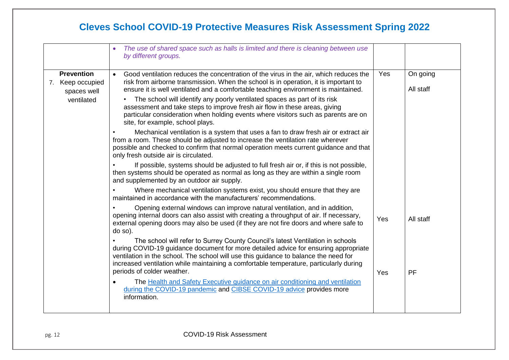|                                                      | The use of shared space such as halls is limited and there is cleaning between use<br>by different groups.                                                                                                                                                                                                                                                                            |     |                       |
|------------------------------------------------------|---------------------------------------------------------------------------------------------------------------------------------------------------------------------------------------------------------------------------------------------------------------------------------------------------------------------------------------------------------------------------------------|-----|-----------------------|
| <b>Prevention</b><br>7. Keep occupied<br>spaces well | Good ventilation reduces the concentration of the virus in the air, which reduces the<br>$\bullet$<br>risk from airborne transmission. When the school is in operation, it is important to<br>ensure it is well ventilated and a comfortable teaching environment is maintained.                                                                                                      | Yes | On going<br>All staff |
| ventilated                                           | • The school will identify any poorly ventilated spaces as part of its risk<br>assessment and take steps to improve fresh air flow in these areas, giving<br>particular consideration when holding events where visitors such as parents are on<br>site, for example, school plays.                                                                                                   |     |                       |
|                                                      | Mechanical ventilation is a system that uses a fan to draw fresh air or extract air<br>from a room. These should be adjusted to increase the ventilation rate wherever<br>possible and checked to confirm that normal operation meets current guidance and that<br>only fresh outside air is circulated.                                                                              |     |                       |
|                                                      | If possible, systems should be adjusted to full fresh air or, if this is not possible,<br>then systems should be operated as normal as long as they are within a single room<br>and supplemented by an outdoor air supply.                                                                                                                                                            |     |                       |
|                                                      | Where mechanical ventilation systems exist, you should ensure that they are<br>maintained in accordance with the manufacturers' recommendations.                                                                                                                                                                                                                                      |     |                       |
|                                                      | Opening external windows can improve natural ventilation, and in addition,<br>opening internal doors can also assist with creating a throughput of air. If necessary,<br>external opening doors may also be used (if they are not fire doors and where safe to<br>do so).                                                                                                             | Yes | All staff             |
|                                                      | The school will refer to Surrey County Council's latest Ventilation in schools<br>during COVID-19 guidance document for more detailed advice for ensuring appropriate<br>ventilation in the school. The school will use this guidance to balance the need for<br>increased ventilation while maintaining a comfortable temperature, particularly during<br>periods of colder weather. | Yes | <b>PF</b>             |
|                                                      | The Health and Safety Executive guidance on air conditioning and ventilation<br>during the COVID-19 pandemic and CIBSE COVID-19 advice provides more<br>information.                                                                                                                                                                                                                  |     |                       |
|                                                      |                                                                                                                                                                                                                                                                                                                                                                                       |     |                       |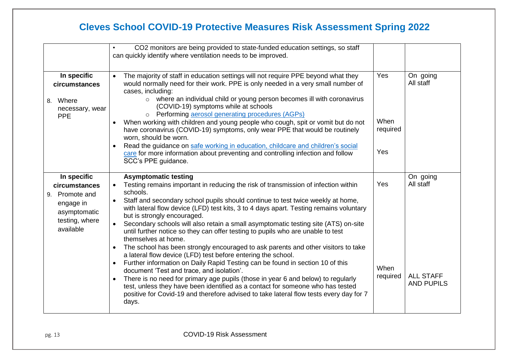|                                                                                                            | CO2 monitors are being provided to state-funded education settings, so staff<br>can quickly identify where ventilation needs to be improved.                                                                                                                                                                                                                                                                                                                                                                                                                                                                                                                                                                                                                                                                                                                                                                                                                                                                                                                                                                                                                                        |                                |                                                                |
|------------------------------------------------------------------------------------------------------------|-------------------------------------------------------------------------------------------------------------------------------------------------------------------------------------------------------------------------------------------------------------------------------------------------------------------------------------------------------------------------------------------------------------------------------------------------------------------------------------------------------------------------------------------------------------------------------------------------------------------------------------------------------------------------------------------------------------------------------------------------------------------------------------------------------------------------------------------------------------------------------------------------------------------------------------------------------------------------------------------------------------------------------------------------------------------------------------------------------------------------------------------------------------------------------------|--------------------------------|----------------------------------------------------------------|
| In specific<br>circumstances<br>8. Where<br>necessary, wear<br><b>PPE</b>                                  | The majority of staff in education settings will not require PPE beyond what they<br>$\bullet$<br>would normally need for their work. PPE is only needed in a very small number of<br>cases, including:<br>o where an individual child or young person becomes ill with coronavirus<br>(COVID-19) symptoms while at schools<br>o Performing aerosol generating procedures (AGPs)<br>When working with children and young people who cough, spit or vomit but do not<br>have coronavirus (COVID-19) symptoms, only wear PPE that would be routinely<br>worn, should be worn.<br>Read the guidance on safe working in education, childcare and children's social<br>$\bullet$<br>care for more information about preventing and controlling infection and follow<br>SCC's PPE guidance.                                                                                                                                                                                                                                                                                                                                                                                               | Yes<br>When<br>required<br>Yes | On going<br>All staff                                          |
| In specific<br>circumstances<br>9. Promote and<br>engage in<br>asymptomatic<br>testing, where<br>available | <b>Asymptomatic testing</b><br>Testing remains important in reducing the risk of transmission of infection within<br>$\bullet$<br>schools.<br>Staff and secondary school pupils should continue to test twice weekly at home,<br>$\bullet$<br>with lateral flow device (LFD) test kits, 3 to 4 days apart. Testing remains voluntary<br>but is strongly encouraged.<br>Secondary schools will also retain a small asymptomatic testing site (ATS) on-site<br>$\bullet$<br>until further notice so they can offer testing to pupils who are unable to test<br>themselves at home.<br>The school has been strongly encouraged to ask parents and other visitors to take<br>$\bullet$<br>a lateral flow device (LFD) test before entering the school.<br>Further information on Daily Rapid Testing can be found in section 10 of this<br>$\bullet$<br>document 'Test and trace, and isolation'.<br>There is no need for primary age pupils (those in year 6 and below) to regularly<br>$\bullet$<br>test, unless they have been identified as a contact for someone who has tested<br>positive for Covid-19 and therefore advised to take lateral flow tests every day for 7<br>days. | Yes<br>When<br>required        | On going<br>All staff<br><b>ALL STAFF</b><br><b>AND PUPILS</b> |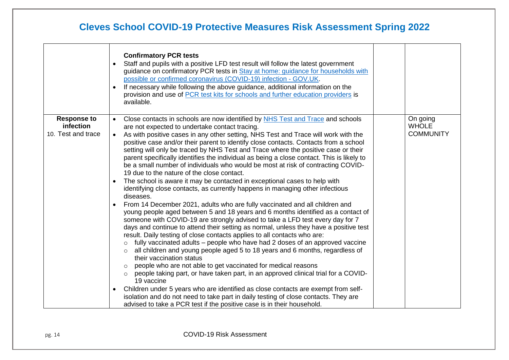|                                                       | <b>Confirmatory PCR tests</b><br>Staff and pupils with a positive LFD test result will follow the latest government<br>$\bullet$<br>guidance on confirmatory PCR tests in Stay at home: guidance for households with<br>possible or confirmed coronavirus (COVID-19) infection - GOV.UK.<br>If necessary while following the above guidance, additional information on the<br>provision and use of PCR test kits for schools and further education providers is<br>available.                                                                                                                                                                                                                                                                                                                                                                                                                                                                                                                                                                                                                                                                                                                                                                                                                                                                                                                                                                                                                                                                                                                                                                                                                                                                                                                                                                                                                       |                                              |
|-------------------------------------------------------|-----------------------------------------------------------------------------------------------------------------------------------------------------------------------------------------------------------------------------------------------------------------------------------------------------------------------------------------------------------------------------------------------------------------------------------------------------------------------------------------------------------------------------------------------------------------------------------------------------------------------------------------------------------------------------------------------------------------------------------------------------------------------------------------------------------------------------------------------------------------------------------------------------------------------------------------------------------------------------------------------------------------------------------------------------------------------------------------------------------------------------------------------------------------------------------------------------------------------------------------------------------------------------------------------------------------------------------------------------------------------------------------------------------------------------------------------------------------------------------------------------------------------------------------------------------------------------------------------------------------------------------------------------------------------------------------------------------------------------------------------------------------------------------------------------------------------------------------------------------------------------------------------------|----------------------------------------------|
| <b>Response to</b><br>infection<br>10. Test and trace | Close contacts in schools are now identified by NHS Test and Trace and schools<br>$\bullet$<br>are not expected to undertake contact tracing.<br>As with positive cases in any other setting, NHS Test and Trace will work with the<br>$\bullet$<br>positive case and/or their parent to identify close contacts. Contacts from a school<br>setting will only be traced by NHS Test and Trace where the positive case or their<br>parent specifically identifies the individual as being a close contact. This is likely to<br>be a small number of individuals who would be most at risk of contracting COVID-<br>19 due to the nature of the close contact.<br>The school is aware it may be contacted in exceptional cases to help with<br>identifying close contacts, as currently happens in managing other infectious<br>diseases.<br>From 14 December 2021, adults who are fully vaccinated and all children and<br>young people aged between 5 and 18 years and 6 months identified as a contact of<br>someone with COVID-19 are strongly advised to take a LFD test every day for 7<br>days and continue to attend their setting as normal, unless they have a positive test<br>result. Daily testing of close contacts applies to all contacts who are:<br>fully vaccinated adults – people who have had 2 doses of an approved vaccine<br>$\circ$<br>all children and young people aged 5 to 18 years and 6 months, regardless of<br>their vaccination status<br>people who are not able to get vaccinated for medical reasons<br>people taking part, or have taken part, in an approved clinical trial for a COVID-<br>19 vaccine<br>Children under 5 years who are identified as close contacts are exempt from self-<br>isolation and do not need to take part in daily testing of close contacts. They are<br>advised to take a PCR test if the positive case is in their household. | On going<br><b>WHOLE</b><br><b>COMMUNITY</b> |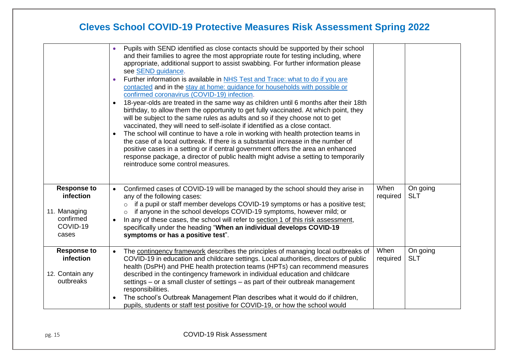|                                                                                   | Pupils with SEND identified as close contacts should be supported by their school<br>and their families to agree the most appropriate route for testing including, where<br>appropriate, additional support to assist swabbing. For further information please<br>see SEND guidance.<br>Further information is available in NHS Test and Trace: what to do if you are<br>contacted and in the stay at home: guidance for households with possible or<br>confirmed coronavirus (COVID-19) infection.<br>18-year-olds are treated in the same way as children until 6 months after their 18th<br>birthday, to allow them the opportunity to get fully vaccinated. At which point, they<br>will be subject to the same rules as adults and so if they choose not to get<br>vaccinated, they will need to self-isolate if identified as a close contact.<br>The school will continue to have a role in working with health protection teams in<br>the case of a local outbreak. If there is a substantial increase in the number of<br>positive cases in a setting or if central government offers the area an enhanced<br>response package, a director of public health might advise a setting to temporarily<br>reintroduce some control measures. |                  |                        |
|-----------------------------------------------------------------------------------|--------------------------------------------------------------------------------------------------------------------------------------------------------------------------------------------------------------------------------------------------------------------------------------------------------------------------------------------------------------------------------------------------------------------------------------------------------------------------------------------------------------------------------------------------------------------------------------------------------------------------------------------------------------------------------------------------------------------------------------------------------------------------------------------------------------------------------------------------------------------------------------------------------------------------------------------------------------------------------------------------------------------------------------------------------------------------------------------------------------------------------------------------------------------------------------------------------------------------------------------------|------------------|------------------------|
| <b>Response to</b><br>infection<br>11. Managing<br>confirmed<br>COVID-19<br>cases | Confirmed cases of COVID-19 will be managed by the school should they arise in<br>$\bullet$<br>any of the following cases:<br>if a pupil or staff member develops COVID-19 symptoms or has a positive test;<br>$\circ$<br>if anyone in the school develops COVID-19 symptoms, however mild; or<br>$\circ$<br>In any of these cases, the school will refer to section 1 of this risk assessment,<br>specifically under the heading "When an individual develops COVID-19<br>symptoms or has a positive test".                                                                                                                                                                                                                                                                                                                                                                                                                                                                                                                                                                                                                                                                                                                                     | When<br>required | On going<br><b>SLT</b> |
| <b>Response to</b><br>infection<br>12. Contain any<br>outbreaks                   | The contingency framework describes the principles of managing local outbreaks of<br>COVID-19 in education and childcare settings. Local authorities, directors of public<br>health (DsPH) and PHE health protection teams (HPTs) can recommend measures<br>described in the contingency framework in individual education and childcare<br>settings – or a small cluster of settings – as part of their outbreak management<br>responsibilities.<br>The school's Outbreak Management Plan describes what it would do if children,<br>pupils, students or staff test positive for COVID-19, or how the school would                                                                                                                                                                                                                                                                                                                                                                                                                                                                                                                                                                                                                              | When<br>required | On going<br><b>SLT</b> |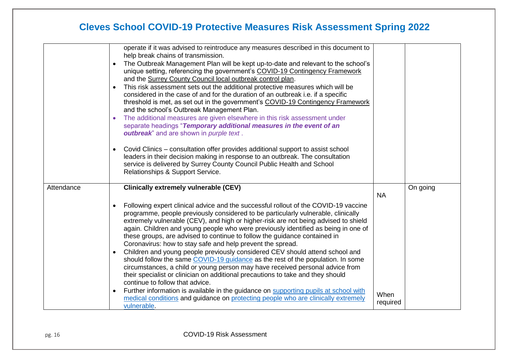|            | operate if it was advised to reintroduce any measures described in this document to<br>help break chains of transmission.<br>The Outbreak Management Plan will be kept up-to-date and relevant to the school's<br>unique setting, referencing the government's COVID-19 Contingency Framework<br>and the Surrey County Council local outbreak control plan.<br>This risk assessment sets out the additional protective measures which will be<br>considered in the case of and for the duration of an outbreak i.e. if a specific<br>threshold is met, as set out in the government's COVID-19 Contingency Framework<br>and the school's Outbreak Management Plan.<br>The additional measures are given elsewhere in this risk assessment under<br>separate headings "Temporary additional measures in the event of an<br>outbreak" and are shown in purple text.<br>Covid Clinics – consultation offer provides additional support to assist school<br>leaders in their decision making in response to an outbreak. The consultation<br>service is delivered by Surrey County Council Public Health and School |                  |          |
|------------|-----------------------------------------------------------------------------------------------------------------------------------------------------------------------------------------------------------------------------------------------------------------------------------------------------------------------------------------------------------------------------------------------------------------------------------------------------------------------------------------------------------------------------------------------------------------------------------------------------------------------------------------------------------------------------------------------------------------------------------------------------------------------------------------------------------------------------------------------------------------------------------------------------------------------------------------------------------------------------------------------------------------------------------------------------------------------------------------------------------------|------------------|----------|
| Attendance | Relationships & Support Service.<br><b>Clinically extremely vulnerable (CEV)</b>                                                                                                                                                                                                                                                                                                                                                                                                                                                                                                                                                                                                                                                                                                                                                                                                                                                                                                                                                                                                                                |                  | On going |
|            | Following expert clinical advice and the successful rollout of the COVID-19 vaccine<br>programme, people previously considered to be particularly vulnerable, clinically<br>extremely vulnerable (CEV), and high or higher-risk are not being advised to shield<br>again. Children and young people who were previously identified as being in one of<br>these groups, are advised to continue to follow the guidance contained in<br>Coronavirus: how to stay safe and help prevent the spread.<br>Children and young people previously considered CEV should attend school and<br>should follow the same COVID-19 guidance as the rest of the population. In some<br>circumstances, a child or young person may have received personal advice from<br>their specialist or clinician on additional precautions to take and they should<br>continue to follow that advice.                                                                                                                                                                                                                                      | <b>NA</b>        |          |
|            | Further information is available in the guidance on supporting pupils at school with<br>$\bullet$<br>medical conditions and guidance on protecting people who are clinically extremely<br>vulnerable.                                                                                                                                                                                                                                                                                                                                                                                                                                                                                                                                                                                                                                                                                                                                                                                                                                                                                                           | When<br>required |          |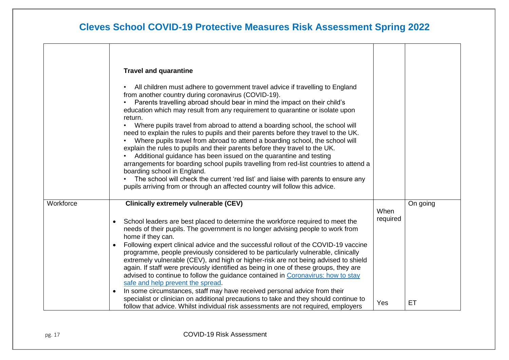$\overline{\phantom{0}}$ 

|           | <b>Travel and quarantine</b><br>All children must adhere to government travel advice if travelling to England<br>from another country during coronavirus (COVID-19).<br>Parents travelling abroad should bear in mind the impact on their child's<br>education which may result from any requirement to quarantine or isolate upon<br>return.<br>Where pupils travel from abroad to attend a boarding school, the school will<br>need to explain the rules to pupils and their parents before they travel to the UK.<br>Where pupils travel from abroad to attend a boarding school, the school will<br>explain the rules to pupils and their parents before they travel to the UK.<br>Additional guidance has been issued on the quarantine and testing<br>arrangements for boarding school pupils travelling from red-list countries to attend a<br>boarding school in England.<br>The school will check the current 'red list' and liaise with parents to ensure any<br>pupils arriving from or through an affected country will follow this advice. |                  |           |
|-----------|---------------------------------------------------------------------------------------------------------------------------------------------------------------------------------------------------------------------------------------------------------------------------------------------------------------------------------------------------------------------------------------------------------------------------------------------------------------------------------------------------------------------------------------------------------------------------------------------------------------------------------------------------------------------------------------------------------------------------------------------------------------------------------------------------------------------------------------------------------------------------------------------------------------------------------------------------------------------------------------------------------------------------------------------------------|------------------|-----------|
| Workforce | <b>Clinically extremely vulnerable (CEV)</b><br>School leaders are best placed to determine the workforce required to meet the<br>needs of their pupils. The government is no longer advising people to work from<br>home if they can.<br>Following expert clinical advice and the successful rollout of the COVID-19 vaccine<br>$\bullet$<br>programme, people previously considered to be particularly vulnerable, clinically<br>extremely vulnerable (CEV), and high or higher-risk are not being advised to shield<br>again. If staff were previously identified as being in one of these groups, they are<br>advised to continue to follow the guidance contained in Coronavirus: how to stay<br>safe and help prevent the spread.<br>In some circumstances, staff may have received personal advice from their<br>$\bullet$                                                                                                                                                                                                                       | When<br>required | On going  |
|           | specialist or clinician on additional precautions to take and they should continue to<br>follow that advice. Whilst individual risk assessments are not required, employers                                                                                                                                                                                                                                                                                                                                                                                                                                                                                                                                                                                                                                                                                                                                                                                                                                                                             | Yes              | <b>ET</b> |

 $\Gamma$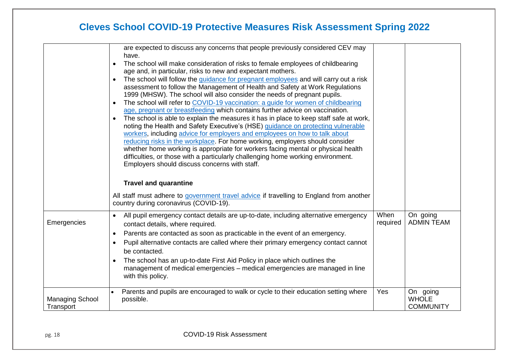| Emergencies                         | are expected to discuss any concerns that people previously considered CEV may<br>have.<br>The school will make consideration of risks to female employees of childbearing<br>$\bullet$<br>age and, in particular, risks to new and expectant mothers.<br>The school will follow the guidance for pregnant employees and will carry out a risk<br>$\bullet$<br>assessment to follow the Management of Health and Safety at Work Regulations<br>1999 (MHSW). The school will also consider the needs of pregnant pupils.<br>The school will refer to COVID-19 vaccination: a guide for women of childbearing<br>$\bullet$<br>age, pregnant or breastfeeding which contains further advice on vaccination.<br>The school is able to explain the measures it has in place to keep staff safe at work,<br>$\bullet$<br>noting the Health and Safety Executive's (HSE) guidance on protecting vulnerable<br>workers, including advice for employers and employees on how to talk about<br>reducing risks in the workplace. For home working, employers should consider<br>whether home working is appropriate for workers facing mental or physical health<br>difficulties, or those with a particularly challenging home working environment.<br>Employers should discuss concerns with staff.<br><b>Travel and quarantine</b><br>All staff must adhere to government travel advice if travelling to England from another<br>country during coronavirus (COVID-19).<br>All pupil emergency contact details are up-to-date, including alternative emergency<br>contact details, where required.<br>Parents are contacted as soon as practicable in the event of an emergency.<br>$\bullet$<br>Pupil alternative contacts are called where their primary emergency contact cannot<br>be contacted. | When<br>required | On going<br><b>ADMIN TEAM</b>                |
|-------------------------------------|----------------------------------------------------------------------------------------------------------------------------------------------------------------------------------------------------------------------------------------------------------------------------------------------------------------------------------------------------------------------------------------------------------------------------------------------------------------------------------------------------------------------------------------------------------------------------------------------------------------------------------------------------------------------------------------------------------------------------------------------------------------------------------------------------------------------------------------------------------------------------------------------------------------------------------------------------------------------------------------------------------------------------------------------------------------------------------------------------------------------------------------------------------------------------------------------------------------------------------------------------------------------------------------------------------------------------------------------------------------------------------------------------------------------------------------------------------------------------------------------------------------------------------------------------------------------------------------------------------------------------------------------------------------------------------------------------------------------------------------------------------------------------------------------|------------------|----------------------------------------------|
|                                     | The school has an up-to-date First Aid Policy in place which outlines the<br>management of medical emergencies - medical emergencies are managed in line<br>with this policy.                                                                                                                                                                                                                                                                                                                                                                                                                                                                                                                                                                                                                                                                                                                                                                                                                                                                                                                                                                                                                                                                                                                                                                                                                                                                                                                                                                                                                                                                                                                                                                                                                |                  |                                              |
| <b>Managing School</b><br>Transport | Parents and pupils are encouraged to walk or cycle to their education setting where<br>$\bullet$<br>possible.                                                                                                                                                                                                                                                                                                                                                                                                                                                                                                                                                                                                                                                                                                                                                                                                                                                                                                                                                                                                                                                                                                                                                                                                                                                                                                                                                                                                                                                                                                                                                                                                                                                                                | Yes              | On going<br><b>WHOLE</b><br><b>COMMUNITY</b> |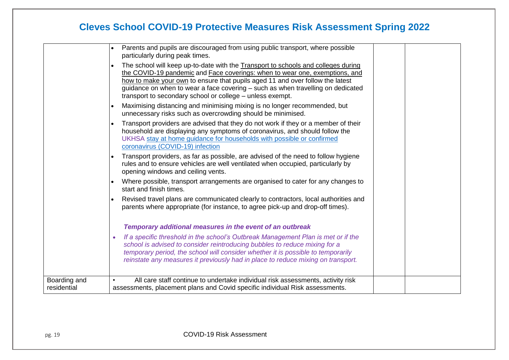|                             | Parents and pupils are discouraged from using public transport, where possible<br>particularly during peak times.<br>The school will keep up-to-date with the Transport to schools and colleges during<br>the COVID-19 pandemic and Face coverings: when to wear one, exemptions, and<br>how to make your own to ensure that pupils aged 11 and over follow the latest<br>guidance on when to wear a face covering - such as when travelling on dedicated<br>transport to secondary school or college – unless exempt.<br>Maximising distancing and minimising mixing is no longer recommended, but<br>unnecessary risks such as overcrowding should be minimised.<br>Transport providers are advised that they do not work if they or a member of their<br>household are displaying any symptoms of coronavirus, and should follow the<br>UKHSA stay at home guidance for households with possible or confirmed<br>coronavirus (COVID-19) infection<br>Transport providers, as far as possible, are advised of the need to follow hygiene<br>rules and to ensure vehicles are well ventilated when occupied, particularly by<br>opening windows and ceiling vents.<br>Where possible, transport arrangements are organised to cater for any changes to<br>start and finish times.<br>Revised travel plans are communicated clearly to contractors, local authorities and<br>parents where appropriate (for instance, to agree pick-up and drop-off times).<br>Temporary additional measures in the event of an outbreak<br>If a specific threshold in the school's Outbreak Management Plan is met or if the<br>school is advised to consider reintroducing bubbles to reduce mixing for a<br>temporary period, the school will consider whether it is possible to temporarily<br>reinstate any measures it previously had in place to reduce mixing on transport. |  |
|-----------------------------|---------------------------------------------------------------------------------------------------------------------------------------------------------------------------------------------------------------------------------------------------------------------------------------------------------------------------------------------------------------------------------------------------------------------------------------------------------------------------------------------------------------------------------------------------------------------------------------------------------------------------------------------------------------------------------------------------------------------------------------------------------------------------------------------------------------------------------------------------------------------------------------------------------------------------------------------------------------------------------------------------------------------------------------------------------------------------------------------------------------------------------------------------------------------------------------------------------------------------------------------------------------------------------------------------------------------------------------------------------------------------------------------------------------------------------------------------------------------------------------------------------------------------------------------------------------------------------------------------------------------------------------------------------------------------------------------------------------------------------------------------------------------------------------------------------------------------------------------------------------------|--|
| Boarding and<br>residential | All care staff continue to undertake individual risk assessments, activity risk<br>assessments, placement plans and Covid specific individual Risk assessments.                                                                                                                                                                                                                                                                                                                                                                                                                                                                                                                                                                                                                                                                                                                                                                                                                                                                                                                                                                                                                                                                                                                                                                                                                                                                                                                                                                                                                                                                                                                                                                                                                                                                                                     |  |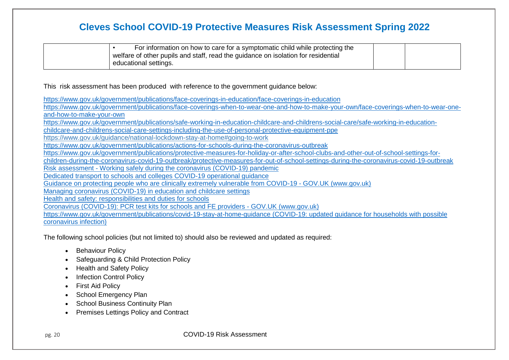| For information on how to care for a symptomatic child while protecting the<br>welfare of other pupils and staff, read the guidance on isolation for residential |  |
|------------------------------------------------------------------------------------------------------------------------------------------------------------------|--|
| educational settings.                                                                                                                                            |  |

This risk assessment has been produced with reference to the government guidance below:

<https://www.gov.uk/government/publications/face-coverings-in-education/face-coverings-in-education>

[https://www.gov.uk/government/publications/face-coverings-when-to-wear-one-and-how-to-make-your-own/face-coverings-when-to-wear-one](https://www.gov.uk/government/publications/face-coverings-when-to-wear-one-and-how-to-make-your-own/face-coverings-when-to-wear-one-and-how-to-make-your-own)[and-how-to-make-your-own](https://www.gov.uk/government/publications/face-coverings-when-to-wear-one-and-how-to-make-your-own/face-coverings-when-to-wear-one-and-how-to-make-your-own) [https://www.gov.uk/government/publications/safe-working-in-education-childcare-and-childrens-social-care/safe-working-in-education-](https://www.gov.uk/government/publications/safe-working-in-education-childcare-and-childrens-social-care/safe-working-in-education-childcare-and-childrens-social-care-settings-including-the-use-of-personal-protective-equipment-ppe)

[childcare-and-childrens-social-care-settings-including-the-use-of-personal-protective-equipment-ppe](https://www.gov.uk/government/publications/safe-working-in-education-childcare-and-childrens-social-care/safe-working-in-education-childcare-and-childrens-social-care-settings-including-the-use-of-personal-protective-equipment-ppe)

<https://www.gov.uk/guidance/national-lockdown-stay-at-home#going-to-work>

<https://www.gov.uk/government/publications/actions-for-schools-during-the-coronavirus-outbreak>

[https://www.gov.uk/government/publications/protective-measures-for-holiday-or-after-school-clubs-and-other-out-of-school-settings-for-](https://www.gov.uk/government/publications/protective-measures-for-holiday-or-after-school-clubs-and-other-out-of-school-settings-for-children-during-the-coronavirus-covid-19-outbreak/protective-measures-for-out-of-school-settings-during-the-coronavirus-covid-19-outbreak)

[children-during-the-coronavirus-covid-19-outbreak/protective-measures-for-out-of-school-settings-during-the-coronavirus-covid-19-outbreak](https://www.gov.uk/government/publications/protective-measures-for-holiday-or-after-school-clubs-and-other-out-of-school-settings-for-children-during-the-coronavirus-covid-19-outbreak/protective-measures-for-out-of-school-settings-during-the-coronavirus-covid-19-outbreak)

Risk assessment - [Working safely during the coronavirus \(COVID-19\) pandemic](https://www.hse.gov.uk/coronavirus/working-safely/risk-assessment.htm)

[Dedicated transport to schools and colleges COVID-19 operational guidance](https://www.gov.uk/government/publications/transport-to-school-and-other-places-of-education-autumn-term-2020/dedicated-transport-to-schools-and-colleges-covid-19-operational-guidance)

[Guidance on protecting people who are clinically extremely vulnerable from COVID-19 -](https://www.gov.uk/government/publications/guidance-on-shielding-and-protecting-extremely-vulnerable-persons-from-covid-19/guidance-on-shielding-and-protecting-extremely-vulnerable-persons-from-covid-19) GOV.UK (www.gov.uk)

[Managing coronavirus \(COVID-19\) in education and childcare settings](https://www.gov.uk/government/publications/coronavirus-covid-19-local-restrictions-in-education-and-childcare-settings)

[Health and safety: responsibilities and duties for schools](https://www.gov.uk/government/publications/health-and-safety-advice-for-schools/responsibilities-and-duties-for-schools)

[Coronavirus \(COVID-19\): PCR test kits for schools and FE providers -](https://www.gov.uk/government/publications/coronavirus-covid-19-test-kits-for-schools-and-fe-providers/coronavirus-covid-19-home-test-kits-for-schools-and-fe-providers) GOV.UK (www.gov.uk)

[https://www.gov.uk/government/publications/covid-19-stay-at-home-guidance \(COVID-19: updated guidance for households with possible](https://www.gov.uk/government/publications/covid-19-stay-at-home-guidance)  [coronavirus infection\)](https://www.gov.uk/government/publications/covid-19-stay-at-home-guidance)

The following school policies (but not limited to) should also be reviewed and updated as required:

- Behaviour Policy
- Safeguarding & Child Protection Policy
- Health and Safety Policy
- Infection Control Policy
- First Aid Policy
- School Emergency Plan
- School Business Continuity Plan
- Premises Lettings Policy and Contract